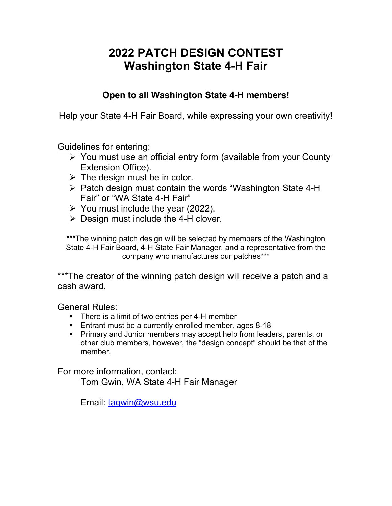# **2022 PATCH DESIGN CONTEST Washington State 4-H Fair**

### **Open to all Washington State 4-H members!**

Help your State 4-H Fair Board, while expressing your own creativity!

Guidelines for entering:

- You must use an official entry form (available from your County Extension Office).
- $\triangleright$  The design must be in color.
- $\triangleright$  Patch design must contain the words "Washington State 4-H Fair" or "WA State 4-H Fair"
- $\triangleright$  You must include the year (2022).
- $\triangleright$  Design must include the 4-H clover.

\*\*\*The winning patch design will be selected by members of the Washington State 4-H Fair Board, 4-H State Fair Manager, and a representative from the company who manufactures our patches\*\*\*

\*\*\*The creator of the winning patch design will receive a patch and a cash award.

General Rules:

- There is a limit of two entries per 4-H member
- **Entrant must be a currently enrolled member, ages 8-18**
- **Primary and Junior members may accept help from leaders, parents, or** other club members, however, the "design concept" should be that of the member.

For more information, contact:

Tom Gwin, WA State 4-H Fair Manager

Email: [tagwin@wsu.edu](mailto:tagwin@wsu.edu)